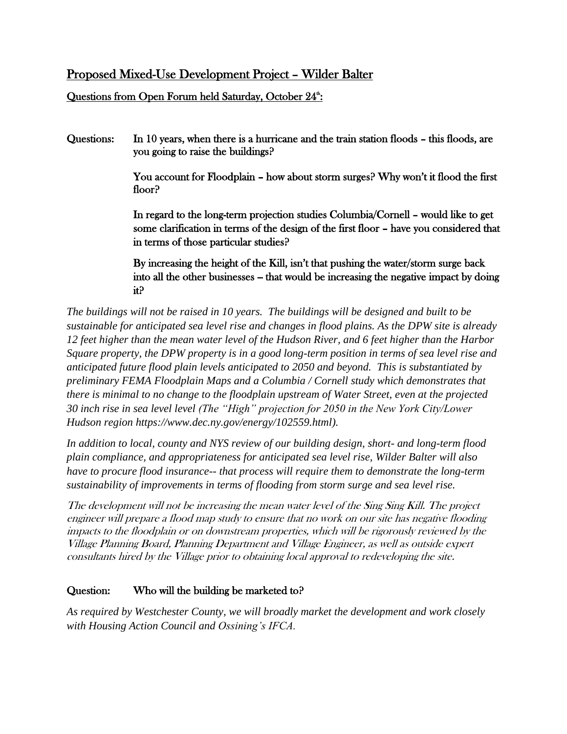# Proposed Mixed-Use Development Project – Wilder Balter

Questions from Open Forum held Saturday, October 24<sup>th</sup>:

Questions: In 10 years, when there is a hurricane and the train station floods – this floods, are you going to raise the buildings?

> You account for Floodplain – how about storm surges? Why won't it flood the first floor?

> In regard to the long-term projection studies Columbia/Cornell – would like to get some clarification in terms of the design of the first floor – have you considered that in terms of those particular studies?

> By increasing the height of the Kill, isn't that pushing the water/storm surge back into all the other businesses – that would be increasing the negative impact by doing it?

*The buildings will not be raised in 10 years. The buildings will be designed and built to be sustainable for anticipated sea level rise and changes in flood plains. As the DPW site is already 12 feet higher than the mean water level of the Hudson River, and 6 feet higher than the Harbor Square property, the DPW property is in a good long-term position in terms of sea level rise and anticipated future flood plain levels anticipated to 2050 and beyond. This is substantiated by preliminary FEMA Floodplain Maps and a Columbia / Cornell study which demonstrates that there is minimal to no change to the floodplain upstream of Water Street, even at the projected 30 inch rise in sea level level (The "High" projection for 2050 in the New York City/Lower Hudson region https://www.dec.ny.gov/energy/102559.html).*

*In addition to local, county and NYS review of our building design, short- and long-term flood plain compliance, and appropriateness for anticipated sea level rise, Wilder Balter will also have to procure flood insurance-- that process will require them to demonstrate the long-term sustainability of improvements in terms of flooding from storm surge and sea level rise.* 

The development will not be increasing the mean water level of the Sing Sing Kill. The project engineer will prepare a flood map study to ensure that no work on our site has negative flooding impacts to the floodplain or on downstream properties, which will be rigorously reviewed by the Village Planning Board, Planning Department and Village Engineer, as well as outside expert consultants hired by the Village prior to obtaining local approval to redeveloping the site.

#### Question: Who will the building be marketed to?

*As required by Westchester County, we will broadly market the development and work closely with Housing Action Council and Ossining's IFCA.*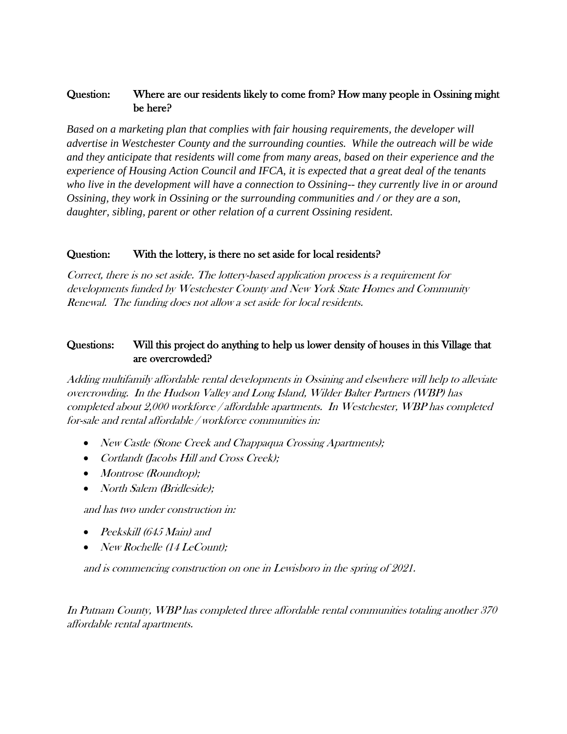#### Question: Where are our residents likely to come from? How many people in Ossining might be here?

*Based on a marketing plan that complies with fair housing requirements, the developer will advertise in Westchester County and the surrounding counties. While the outreach will be wide and they anticipate that residents will come from many areas, based on their experience and the experience of Housing Action Council and IFCA, it is expected that a great deal of the tenants who live in the development will have a connection to Ossining-- they currently live in or around Ossining, they work in Ossining or the surrounding communities and / or they are a son, daughter, sibling, parent or other relation of a current Ossining resident.*

#### Question: With the lottery, is there no set aside for local residents?

Correct, there is no set aside. The lottery-based application process is a requirement for developments funded by Westchester County and New York State Homes and Community Renewal. The funding does not allow a set aside for local residents.

#### Questions: Will this project do anything to help us lower density of houses in this Village that are overcrowded?

Adding multifamily affordable rental developments in Ossining and elsewhere will help to alleviate overcrowding. In the Hudson Valley and Long Island, Wilder Balter Partners (WBP) has completed about 2,000 workforce / affordable apartments. In Westchester, WBP has completed for-sale and rental affordable / workforce communities in:

- New Castle (Stone Creek and Chappaqua Crossing Apartments);
- Cortlandt (Jacobs Hill and Cross Creek);
- Montrose (Roundtop);
- North Salem (Bridleside);

and has two under construction in:

- Peekskill (645 Main) and
- New Rochelle (14 LeCount);

and is commencing construction on one in Lewisboro in the spring of 2021.

In Putnam County, WBP has completed three affordable rental communities totaling another 370 affordable rental apartments.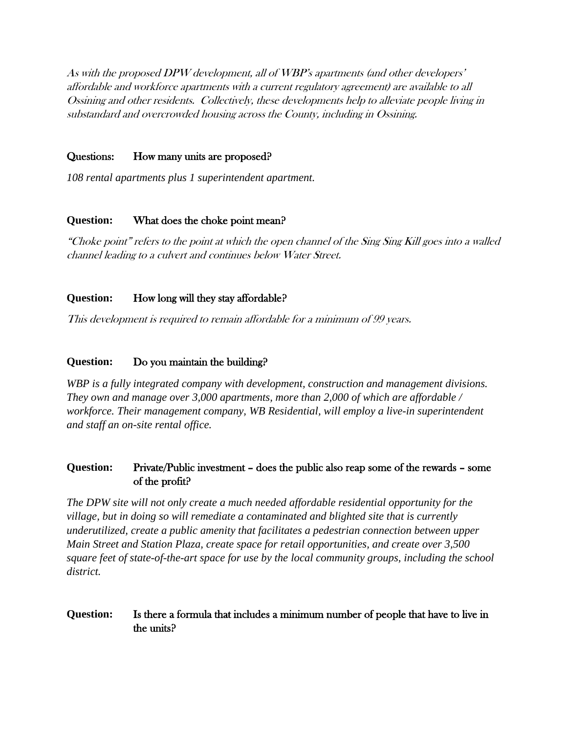As with the proposed DPW development, all of WBP's apartments (and other developers' affordable and workforce apartments with a current regulatory agreement) are available to all Ossining and other residents. Collectively, these developments help to alleviate people living in substandard and overcrowded housing across the County, including in Ossining.

#### Questions: How many units are proposed?

*108 rental apartments plus 1 superintendent apartment.*

#### **Question:** What does the choke point mean?

"Choke point" refers to the point at which the open channel of the Sing Sing Kill goes into a walled channel leading to a culvert and continues below Water Street.

#### **Question:** How long will they stay affordable?

This development is required to remain affordable for a minimum of 99 years.

#### **Question:** Do you maintain the building?

*WBP is a fully integrated company with development, construction and management divisions. They own and manage over 3,000 apartments, more than 2,000 of which are affordable / workforce. Their management company, WB Residential, will employ a live-in superintendent and staff an on-site rental office.* 

#### **Question:** Private/Public investment – does the public also reap some of the rewards – some of the profit?

*The DPW site will not only create a much needed affordable residential opportunity for the village, but in doing so will remediate a contaminated and blighted site that is currently underutilized, create a public amenity that facilitates a pedestrian connection between upper Main Street and Station Plaza, create space for retail opportunities, and create over 3,500 square feet of state-of-the-art space for use by the local community groups, including the school district.*

#### **Question:** Is there a formula that includes a minimum number of people that have to live in the units?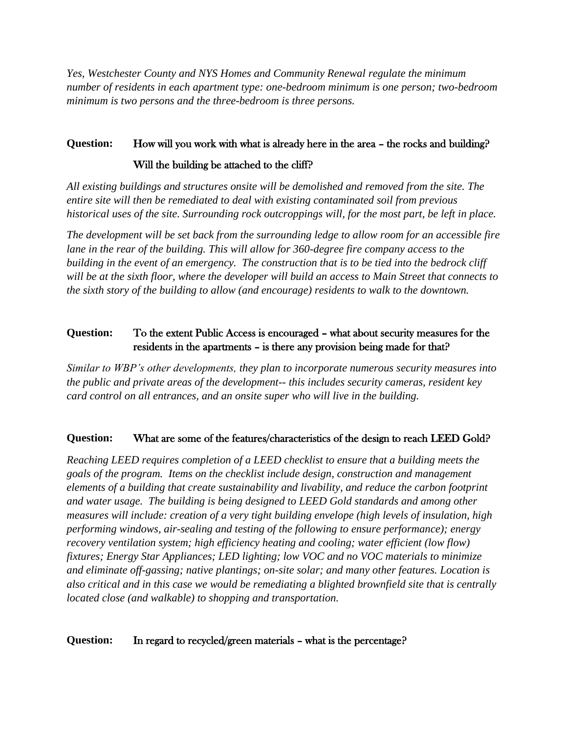*Yes, Westchester County and NYS Homes and Community Renewal regulate the minimum number of residents in each apartment type: one-bedroom minimum is one person; two-bedroom minimum is two persons and the three-bedroom is three persons.* 

# **Question:** How will you work with what is already here in the area – the rocks and building? Will the building be attached to the cliff?

*All existing buildings and structures onsite will be demolished and removed from the site. The entire site will then be remediated to deal with existing contaminated soil from previous historical uses of the site. Surrounding rock outcroppings will, for the most part, be left in place.*

*The development will be set back from the surrounding ledge to allow room for an accessible fire lane in the rear of the building. This will allow for 360-degree fire company access to the building in the event of an emergency. The construction that is to be tied into the bedrock cliff will be at the sixth floor, where the developer will build an access to Main Street that connects to the sixth story of the building to allow (and encourage) residents to walk to the downtown.*

## **Question:** To the extent Public Access is encouraged – what about security measures for the residents in the apartments – is there any provision being made for that?

*Similar to WBP's other developments, they plan to incorporate numerous security measures into the public and private areas of the development-- this includes security cameras, resident key card control on all entrances, and an onsite super who will live in the building.*

# **Question:** What are some of the features/characteristics of the design to reach LEED Gold?

*Reaching LEED requires completion of a LEED checklist to ensure that a building meets the goals of the program. Items on the checklist include design, construction and management elements of a building that create sustainability and livability, and reduce the carbon footprint and water usage. The building is being designed to LEED Gold standards and among other measures will include: creation of a very tight building envelope (high levels of insulation, high performing windows, air-sealing and testing of the following to ensure performance); energy recovery ventilation system; high efficiency heating and cooling; water efficient (low flow) fixtures; Energy Star Appliances; LED lighting; low VOC and no VOC materials to minimize and eliminate off-gassing; native plantings; on-site solar; and many other features. Location is also critical and in this case we would be remediating a blighted brownfield site that is centrally located close (and walkable) to shopping and transportation.*

#### Question: In regard to recycled/green materials – what is the percentage?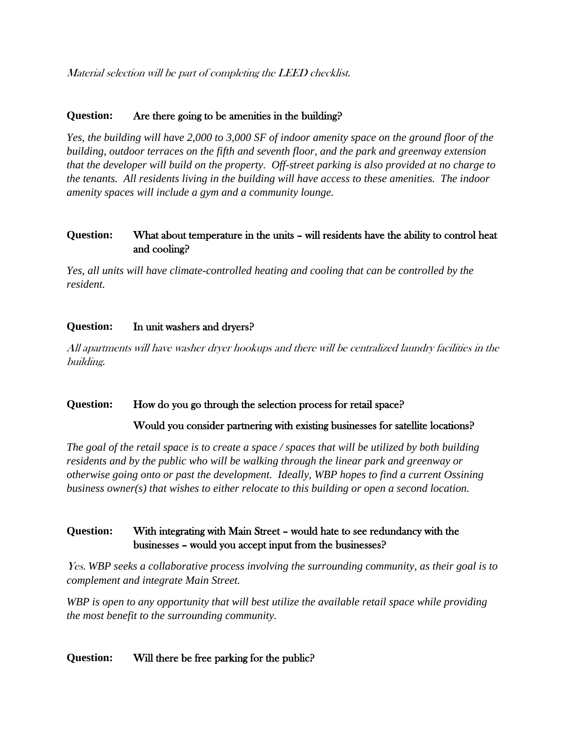Material selection will be part of completing the LEED checklist.

#### **Question:** Are there going to be amenities in the building?

*Yes, the building will have 2,000 to 3,000 SF of indoor amenity space on the ground floor of the building, outdoor terraces on the fifth and seventh floor, and the park and greenway extension that the developer will build on the property. Off-street parking is also provided at no charge to the tenants. All residents living in the building will have access to these amenities. The indoor amenity spaces will include a gym and a community lounge.*

#### **Question:** What about temperature in the units – will residents have the ability to control heat and cooling?

*Yes, all units will have climate-controlled heating and cooling that can be controlled by the resident.*

#### **Question:** In unit washers and dryers?

All apartments will have washer dryer hookups and there will be centralized laundry facilities in the building.

#### Question: How do you go through the selection process for retail space?

Would you consider partnering with existing businesses for satellite locations?

*The goal of the retail space is to create a space / spaces that will be utilized by both building residents and by the public who will be walking through the linear park and greenway or otherwise going onto or past the development. Ideally, WBP hopes to find a current Ossining business owner(s) that wishes to either relocate to this building or open a second location.*

## **Question:** With integrating with Main Street – would hate to see redundancy with the businesses – would you accept input from the businesses?

Yes. *WBP seeks a collaborative process involving the surrounding community, as their goal is to complement and integrate Main Street.* 

*WBP is open to any opportunity that will best utilize the available retail space while providing the most benefit to the surrounding community.* 

#### **Question:** Will there be free parking for the public?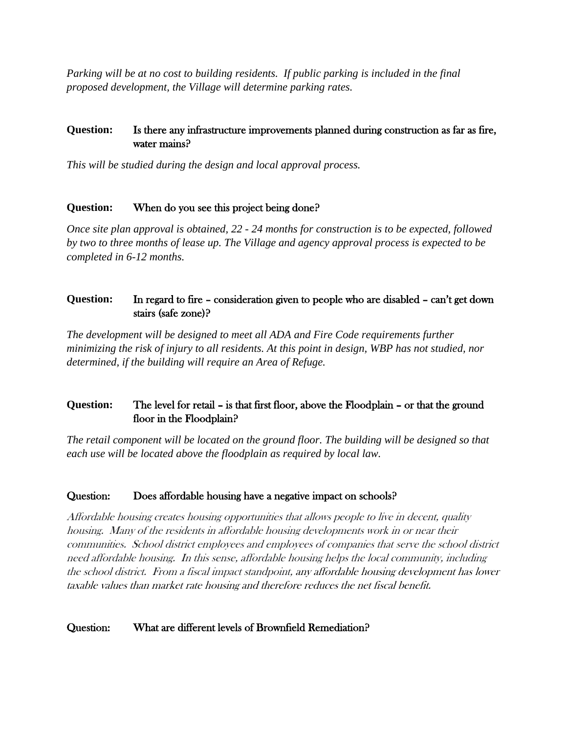*Parking will be at no cost to building residents. If public parking is included in the final proposed development, the Village will determine parking rates.*

## **Question:** Is there any infrastructure improvements planned during construction as far as fire, water mains?

*This will be studied during the design and local approval process.* 

#### **Question:** When do you see this project being done?

*Once site plan approval is obtained, 22 - 24 months for construction is to be expected, followed by two to three months of lease up. The Village and agency approval process is expected to be completed in 6-12 months.*

# **Question:** In regard to fire – consideration given to people who are disabled – can't get down stairs (safe zone)?

*The development will be designed to meet all ADA and Fire Code requirements further minimizing the risk of injury to all residents. At this point in design, WBP has not studied, nor determined, if the building will require an Area of Refuge.* 

# **Question:** The level for retail – is that first floor, above the Floodplain – or that the ground floor in the Floodplain?

*The retail component will be located on the ground floor. The building will be designed so that each use will be located above the floodplain as required by local law.*

# Question: Does affordable housing have a negative impact on schools?

Affordable housing creates housing opportunities that allows people to live in decent, quality housing. Many of the residents in affordable housing developments work in or near their communities. School district employees and employees of companies that serve the school district need affordable housing. In this sense, affordable housing helps the local community, including the school district. From a fiscal impact standpoint, any affordable housing development has lower taxable values than market rate housing and therefore reduces the net fiscal benefit.

#### Question: What are different levels of Brownfield Remediation?